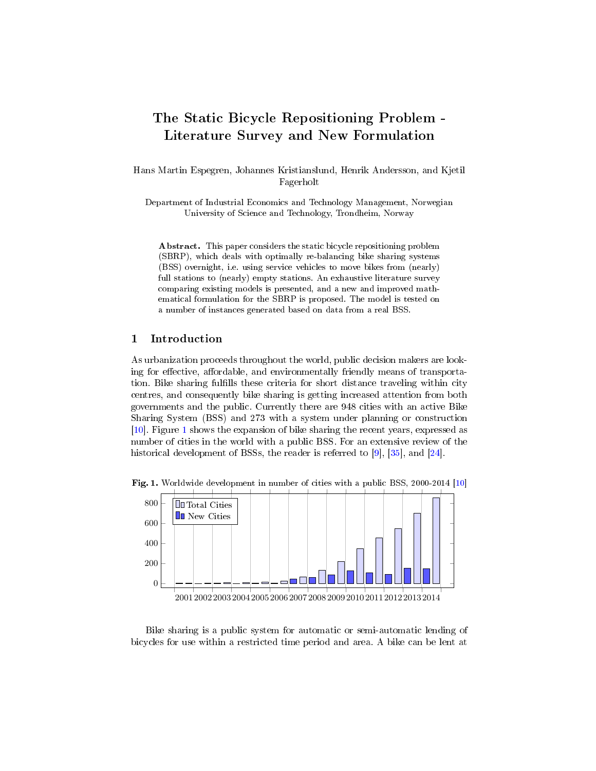# The Static Bicycle Repositioning Problem - Literature Survey and New Formulation

Hans Martin Espegren, Johannes Kristianslund, Henrik Andersson, and Kjetil Fagerholt

Department of Industrial Economics and Technology Management, Norwegian University of Science and Technology, Trondheim, Norway

Abstract. This paper considers the static bicycle repositioning problem (SBRP), which deals with optimally re-balancing bike sharing systems (BSS) overnight, i.e. using service vehicles to move bikes from (nearly) full stations to (nearly) empty stations. An exhaustive literature survey comparing existing models is presented, and a new and improved mathematical formulation for the SBRP is proposed. The model is tested on a number of instances generated based on data from a real BSS.

## 1 Introduction

As urbanization proceeds throughout the world, public decision makers are looking for effective, affordable, and environmentally friendly means of transportation. Bike sharing fullls these criteria for short distance traveling within city centres, and consequently bike sharing is getting increased attention from both governments and the public. Currently there are 948 cities with an active Bike Sharing System (BSS) and 273 with a system under planning or construction [\[10\]](#page-13-0). Figure [1](#page-0-0) shows the expansion of bike sharing the recent years, expressed as number of cities in the world with a public BSS. For an extensive review of the historical development of BSSs, the reader is referred to [\[9\]](#page-13-1), [\[35\]](#page-14-0), and [\[24\]](#page-13-2).



<span id="page-0-0"></span>

Bike sharing is a public system for automatic or semi-automatic lending of bicycles for use within a restricted time period and area. A bike can be lent at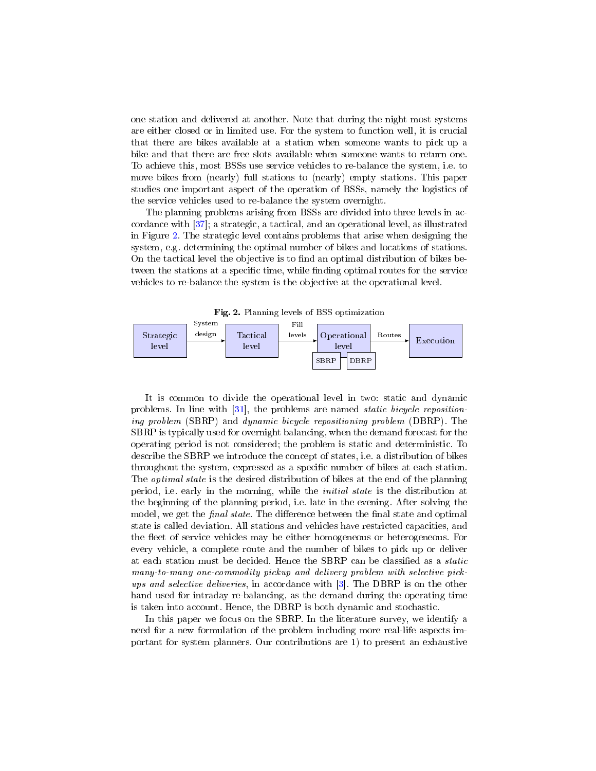one station and delivered at another. Note that during the night most systems are either closed or in limited use. For the system to function well, it is crucial that there are bikes available at a station when someone wants to pick up a bike and that there are free slots available when someone wants to return one. To achieve this, most BSSs use service vehicles to re-balance the system, i.e. to move bikes from (nearly) full stations to (nearly) empty stations. This paper studies one important aspect of the operation of BSSs, namely the logistics of the service vehicles used to re-balance the system overnight.

The planning problems arising from BSSs are divided into three levels in accordance with [\[37\]](#page-14-1); a strategic, a tactical, and an operational level, as illustrated in Figure [2.](#page-1-0) The strategic level contains problems that arise when designing the system, e.g. determining the optimal number of bikes and locations of stations. On the tactical level the objective is to find an optimal distribution of bikes between the stations at a specific time, while finding optimal routes for the service vehicles to re-balance the system is the objective at the operational level.

<span id="page-1-0"></span>Fig. 2. Planning levels of BSS optimization



It is common to divide the operational level in two: static and dynamic problems. In line with [\[31\]](#page-14-2), the problems are named static bicycle repositioning problem (SBRP) and dynamic bicycle repositioning problem (DBRP). The SBRP is typically used for overnight balancing, when the demand forecast for the operating period is not considered; the problem is static and deterministic. To describe the SBRP we introduce the concept of states, i.e. a distribution of bikes throughout the system, expressed as a specific number of bikes at each station. The *optimal state* is the desired distribution of bikes at the end of the planning period, i.e. early in the morning, while the initial state is the distribution at the beginning of the planning period, i.e. late in the evening. After solving the model, we get the *final state*. The difference between the final state and optimal state is called deviation. All stations and vehicles have restricted capacities, and the fleet of service vehicles may be either homogeneous or heterogeneous. For every vehicle, a complete route and the number of bikes to pick up or deliver at each station must be decided. Hence the SBRP can be classified as a *static* many-to-many one-commodity pickup and delivery problem with selective pick-ups and selective deliveries, in accordance with [\[3\]](#page-12-0). The DBRP is on the other hand used for intraday re-balancing, as the demand during the operating time is taken into account. Hence, the DBRP is both dynamic and stochastic.

In this paper we focus on the SBRP. In the literature survey, we identify a need for a new formulation of the problem including more real-life aspects important for system planners. Our contributions are 1) to present an exhaustive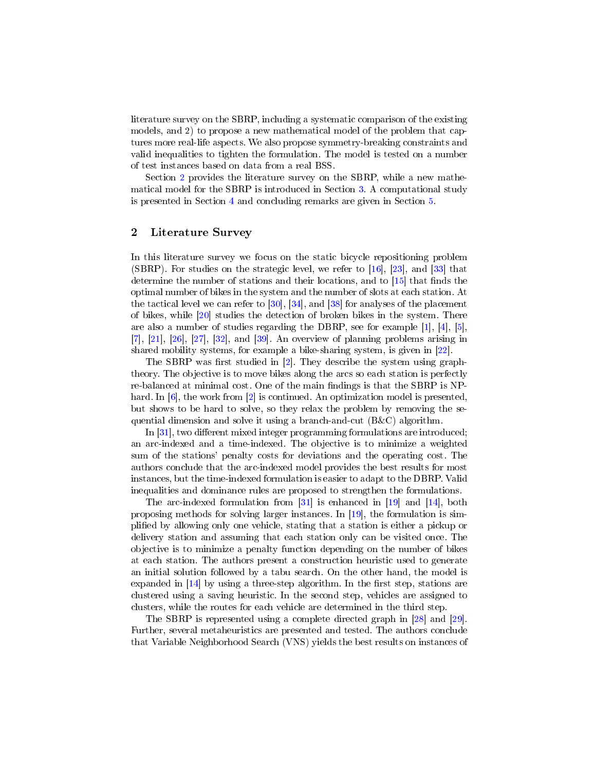literature survey on the SBRP, including a systematic comparison of the existing models, and 2) to propose a new mathematical model of the problem that captures more real-life aspects. We also propose symmetry-breaking constraints and valid inequalities to tighten the formulation. The model is tested on a number of test instances based on data from a real BSS.

Section [2](#page-2-0) provides the literature survey on the SBRP, while a new mathematical model for the SBRP is introduced in Section [3.](#page-5-0) A computational study is presented in Section [4](#page-8-0) and concluding remarks are given in Section [5.](#page-12-1)

## <span id="page-2-0"></span>2 Literature Survey

In this literature survey we focus on the static bicycle repositioning problem  $(SBRP)$ . For studies on the strategic level, we refer to [\[16\]](#page-13-3), [\[23\]](#page-13-4), and [\[33\]](#page-14-3) that determine the number of stations and their locations, and to  $[15]$  that finds the optimal number of bikes in the system and the number of slots at each station. At the tactical level we can refer to  $[30]$ ,  $[34]$ , and  $[38]$  for analyses of the placement of bikes, while [\[20\]](#page-13-6) studies the detection of broken bikes in the system. There are also a number of studies regarding the DBRP, see for example [\[1\]](#page-12-2), [\[4\]](#page-12-3), [\[5\]](#page-12-4),  $[7]$ ,  $[21]$ ,  $[26]$ ,  $[27]$ ,  $[32]$ , and  $[39]$ . An overview of planning problems arising in shared mobility systems, for example a bike-sharing system, is given in [\[22\]](#page-13-8).

The SBRP was first studied in  $[2]$ . They describe the system using graphtheory. The objective is to move bikes along the arcs so each station is perfectly re-balanced at minimal cost. One of the main findings is that the SBRP is NP-hard. In [\[6\]](#page-12-7), the work from [\[2\]](#page-12-6) is continued. An optimization model is presented, but shows to be hard to solve, so they relax the problem by removing the sequential dimension and solve it using a branch-and-cut (B&C) algorithm.

In  $[31]$ , two different mixed integer programming formulations are introduced; an arc-indexed and a time-indexed. The objective is to minimize a weighted sum of the stations' penalty costs for deviations and the operating cost. The authors conclude that the arc-indexed model provides the best results for most instances, but the time-indexed formulation is easier to adapt to the DBRP. Valid inequalities and dominance rules are proposed to strengthen the formulations.

The arc-indexed formulation from [\[31\]](#page-14-2) is enhanced in [\[19\]](#page-13-9) and [\[14\]](#page-13-10), both proposing methods for solving larger instances. In [\[19\]](#page-13-9), the formulation is simplied by allowing only one vehicle, stating that a station is either a pickup or delivery station and assuming that each station only can be visited once. The objective is to minimize a penalty function depending on the number of bikes at each station. The authors present a construction heuristic used to generate an initial solution followed by a tabu search. On the other hand, the model is expanded in  $[14]$  by using a three-step algorithm. In the first step, stations are clustered using a saving heuristic. In the second step, vehicles are assigned to clusters, while the routes for each vehicle are determined in the third step.

The SBRP is represented using a complete directed graph in [\[28\]](#page-14-11) and [\[29\]](#page-14-12). Further, several metaheuristics are presented and tested. The authors conclude that Variable Neighborhood Search (VNS) yields the best results on instances of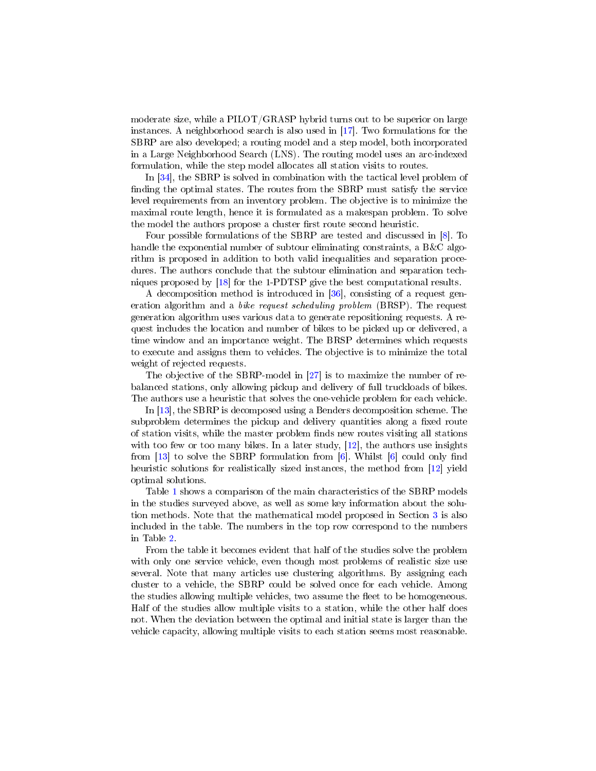moderate size, while a PILOT/GRASP hybrid turns out to be superior on large instances. A neighborhood search is also used in [\[17\]](#page-13-11). Two formulations for the SBRP are also developed; a routing model and a step model, both incorporated in a Large Neighborhood Search (LNS). The routing model uses an arc-indexed formulation, while the step model allocates all station visits to routes.

In [\[34\]](#page-14-5), the SBRP is solved in combination with the tactical level problem of finding the optimal states. The routes from the SBRP must satisfy the service level requirements from an inventory problem. The objective is to minimize the maximal route length, hence it is formulated as a makespan problem. To solve the model the authors propose a cluster first route second heuristic.

Four possible formulations of the SBRP are tested and discussed in [\[8\]](#page-12-8). To handle the exponential number of subtour eliminating constraints, a B&C algorithm is proposed in addition to both valid inequalities and separation procedures. The authors conclude that the subtour elimination and separation techniques proposed by [\[18\]](#page-13-12) for the 1-PDTSP give the best computational results.

A decomposition method is introduced in [\[36\]](#page-14-13), consisting of a request generation algorithm and a bike request scheduling problem (BRSP). The request generation algorithm uses various data to generate repositioning requests. A request includes the location and number of bikes to be picked up or delivered, a time window and an importance weight. The BRSP determines which requests to execute and assigns them to vehicles. The objective is to minimize the total weight of rejected requests.

The objective of the SBRP-model in [\[27\]](#page-14-8) is to maximize the number of rebalanced stations, only allowing pickup and delivery of full truckloads of bikes. The authors use a heuristic that solves the one-vehicle problem for each vehicle.

In [\[13\]](#page-13-13), the SBRP is decomposed using a Benders decomposition scheme. The subproblem determines the pickup and delivery quantities along a fixed route of station visits, while the master problem finds new routes visiting all stations with too few or too many bikes. In a later study, [\[12\]](#page-13-14), the authors use insights from [\[13\]](#page-13-13) to solve the SBRP formulation from  $[6]$ . Whilst  $[6]$  could only find heuristic solutions for realistically sized instances, the method from [\[12\]](#page-13-14) yield optimal solutions.

Table [1](#page-4-0) shows a comparison of the main characteristics of the SBRP models in the studies surveyed above, as well as some key information about the solution methods. Note that the mathematical model proposed in Section [3](#page-5-0) is also included in the table. The numbers in the top row correspond to the numbers in Table [2.](#page-5-1)

From the table it becomes evident that half of the studies solve the problem with only one service vehicle, even though most problems of realistic size use several. Note that many articles use clustering algorithms. By assigning each cluster to a vehicle, the SBRP could be solved once for each vehicle. Among the studies allowing multiple vehicles, two assume the fleet to be homogeneous. Half of the studies allow multiple visits to a station, while the other half does not. When the deviation between the optimal and initial state is larger than the vehicle capacity, allowing multiple visits to each station seems most reasonable.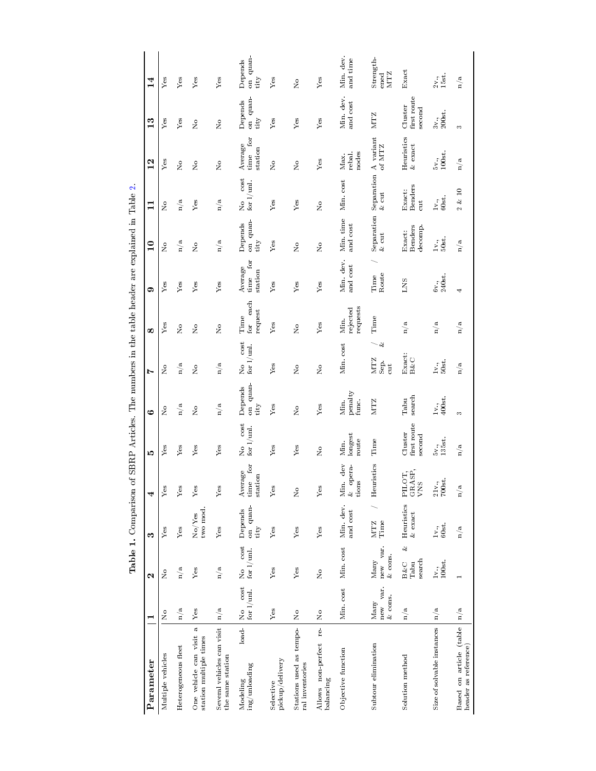<span id="page-4-0"></span>

|                                                      |                                                                                                     |                                                       |                                        | lable 1. Companson of SBKP Articles. The numbers in the table header are explained in Table 2. |                                  |                                        |                                                 |                                             |                                   |                                        |                                  |                                   |                                        |                                    |
|------------------------------------------------------|-----------------------------------------------------------------------------------------------------|-------------------------------------------------------|----------------------------------------|------------------------------------------------------------------------------------------------|----------------------------------|----------------------------------------|-------------------------------------------------|---------------------------------------------|-----------------------------------|----------------------------------------|----------------------------------|-----------------------------------|----------------------------------------|------------------------------------|
| Parameter                                            | $\blacksquare$                                                                                      | $\mathbf{\Omega}$                                     | S                                      | 4                                                                                              | מו                               | $\bullet$                              | Ņ                                               | $\infty$                                    | ශ                                 | $\overline{10}$                        | $\mathbf{1}$                     | $\frac{2}{1}$                     | 13                                     | $\overline{14}$                    |
| Multiple vehicles                                    | $\tilde{z}$                                                                                         | $\overline{R}$                                        | Yes                                    | $Y$ es                                                                                         | Yes                              | $\frac{1}{2}$                          | $\tilde{z}$                                     | Yes                                         | Yes                               | $\overline{\mathsf{z}}$                | $\overline{\mathsf{z}}$          | Yes                               | Yes                                    | Yes                                |
| Heterogeneous fleet                                  | n/a                                                                                                 | n/a                                                   | Yes                                    | Yes                                                                                            | Yes                              | n/a                                    | n/a                                             | $\frac{1}{2}$                               | Yes                               | n/a                                    | n/a                              | $\overline{\mathsf{x}}$           | Yes                                    | Yes                                |
| æ<br>One vehicle can visit<br>station multiple times | Yes                                                                                                 | $Y$ es                                                | two mod.<br>No/Yes                     | Yes                                                                                            | $Y$ es                           | $\tilde{z}$                            | $\tilde{z}$                                     | $\frac{1}{2}$                               | Yes                               | $\overline{N}$                         | Yes                              | $\frac{1}{2}$                     | $\overline{M}$                         | Yes                                |
| Several vehicles can visit<br>the same station       | n/a                                                                                                 | n/a                                                   | ${\rm Yes}$                            | Yes                                                                                            | Yes                              | n/a                                    | n/a                                             | $\mathsf{S}^{\mathsf{O}}$                   | Yes                               | n/a                                    | n/a                              | $\overline{R}$                    | $\mathsf{S}^{\mathsf{o}}$              | Yes                                |
| load<br>ing/unloading<br>Modeling                    | cost<br>$\begin{array}{ l } \hline \text{No} & \text{cost} \\ \hline \text{for l/unl}. \end{array}$ | cost<br>for $1/\mathrm{unl}.$<br>$\mathsf{R}^{\circ}$ | on quan-<br>Depends<br>$\mathbf{tity}$ | for<br>Average<br>station<br>time                                                              | cost<br>for $1$ /unl.<br>2       | on quan-<br>Depends<br>$\mathrm{tity}$ | cost<br>for $1$ /unl.<br>2                      | each<br>request<br>Time<br>$\overline{6}$ r | for<br>Average<br>station<br>time | on quan-<br>Depends<br>$\mathbf{tity}$ | cost<br>for $1$ /unl.<br>2       | for<br>Average<br>station<br>time | on quan-<br>Depends<br>$\mathrm{tity}$ | quan-<br>Depends<br>$\sin$<br>tity |
| pick up/delivery<br>Selective                        | $Y$ es                                                                                              | $Y$ es                                                | $Y$ es                                 | Yes                                                                                            | Yes                              | Yes                                    | Yes                                             | Yes                                         | Yes                               | Yes                                    | Yes                              | $\overline{R}$                    | Yes                                    | Yes                                |
| Stations used as tempo-<br>ral inventories           | $\mathsf{S}^{\mathsf{O}}$                                                                           | Yes                                                   | Yes                                    | 2                                                                                              | Yes                              | $\mathsf{S}^{\mathsf{O}}$              | 2                                               | $\mathsf{S}^{\mathsf{O}}$                   | Yes                               | $\mathsf{S}^{\mathsf{o}}$              | Yes                              | $\overline{R}$                    | Yes                                    | $\overline{R}$                     |
| Allows non-perfect re-<br>balancing                  | $\frac{6}{5}$                                                                                       | $\overline{R}$                                        | $Y$ es                                 | $Y$ es                                                                                         | $\frac{1}{2}$                    | Yes                                    | $\frac{1}{2}$                                   | Yes                                         | Yes                               | $\overline{R}$                         | $\overline{R}$                   | Yes                               | Yes                                    | Yes                                |
| Objective function                                   | Min. cost                                                                                           | Min. cost                                             | Min. dev.<br>and cost                  | Min. dev<br>& opera-<br>tions                                                                  | longest<br>route<br>Min.         | penalty<br>func.<br>Min.               | Min. cost                                       | requests<br>rejected<br>Min.                | Min. dev.<br>and cost             | Min. time<br>and cost                  | Min. cost                        | nodes<br>rebal.<br>Max.           | Min. dev.<br>and cost                  | Min. dev.<br>and time              |
| Subtour elimination                                  | new var.<br>$\&$ cons.<br>Many                                                                      | new var.<br>$&$ cons.<br>Many                         | $\ensuremath{\text{MTZ}}$<br>Time      | Heuristics                                                                                     | Time                             | <b>NTZ</b>                             | -2<br><b>MTZ</b><br>$\mathbf{\hat{s}}$ p.<br>ct | Time                                        | Route<br>Time                     | Separation $\&$ cut                    | Separation A variant<br>$\&$ cut | of MTZ                            | <b>NTZ</b>                             | Strength-<br><b>NTZ</b><br>ened    |
| Solution method                                      | n/a                                                                                                 | $\infty$<br>search<br>Tabu<br>$B\&C$                  | Heuristics<br>& exact                  | PILOT,<br>GRASP,<br>VNS                                                                        | first route<br>Cluster<br>second | search<br>Tabu                         | Exact:<br>B&C                                   | n/a                                         | <b>SNT</b>                        | Benders<br>decomp.<br>Exact:           | Benders<br>Exact:<br>cut         | Heuristics<br>$\&$ exact          | first route<br>Cluster<br>second       | Exact                              |
| Size of solvable instances                           | n/a                                                                                                 | $\frac{1}{100}$                                       | $1v$ ., 60st.                          | $\frac{21 \text{v}}{700 \text{st}}$                                                            | 5v.,<br>135st.                   | $\frac{1}{100}$ st.                    | $\frac{1}{50}$ st.                              | n/a                                         | 6v.,<br>240st.                    | $\frac{1}{5}$ sost.                    | $\frac{1}{\sqrt{2}}$ .           | $\frac{5v}{100st}$ .              | $\frac{3v}{200st}$ .                   | 2v.,<br>15st.                      |
| Based on article (table<br>header as reference       | n/a                                                                                                 |                                                       | n/a                                    | n/a                                                                                            | n/a                              | S                                      | n/a                                             | n/a                                         | 4                                 | n/a                                    | $2 \& 10$                        | n/a                               | S                                      | n/a                                |

d in Table 2 Table 1. Comparison of SBRP Articles. The numbers in the table header are explained in Table [2.](#page-5-1)  $\frac{1}{2}$ مهم ملحلة  $\frac{1}{2}$  in the  $\frac{2}{3}$  $\pi$  SBBP  $\Delta$ rticles The  $\cdot$ Table 1. Co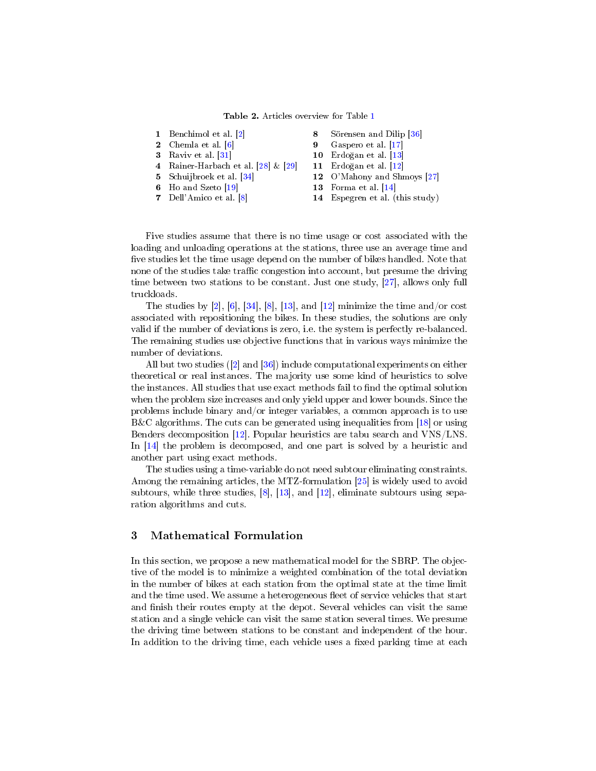<span id="page-5-1"></span>Table 2. Articles overview for Table [1](#page-4-0)

| 1 Benchimol et al. $[2]$                                      | 8 Sörensen and Dilip [36]                                  |
|---------------------------------------------------------------|------------------------------------------------------------|
| 2 Chemla et al. $[6]$                                         | <b>9</b> Gaspero et al. $\begin{bmatrix} 17 \end{bmatrix}$ |
| <b>3</b> Raviv et al. $\begin{bmatrix} 31 \end{bmatrix}$      | 10 Erdoğan et al. $\left[13\right]$                        |
| 4 Rainer-Harbach et al. $\left[28\right]$ & $\left[29\right]$ | 11 Erdoğan et al. [12]                                     |
| 5 Schuijbroek et al. [34]                                     | 12 O'Mahony and Shmoys [27]                                |
| 6 Ho and Szeto [19]                                           | 13 Forma et al. $[14]$                                     |
| 7 Dell'Amico et al. [8]                                       | 14 Espegren et al. (this study)                            |
|                                                               |                                                            |

Five studies assume that there is no time usage or cost associated with the loading and unloading operations at the stations, three use an average time and five studies let the time usage depend on the number of bikes handled. Note that none of the studies take traffic congestion into account, but presume the driving time between two stations to be constant. Just one study, [\[27\]](#page-14-8), allows only full truckloads.

The studies by  $[2]$ ,  $[6]$ ,  $[34]$ ,  $[8]$ ,  $[13]$ , and  $[12]$  minimize the time and/or cost associated with repositioning the bikes. In these studies, the solutions are only valid if the number of deviations is zero, i.e. the system is perfectly re-balanced. The remaining studies use objective functions that in various ways minimize the number of deviations.

All but two studies ([\[2\]](#page-12-6) and [\[36\]](#page-14-13)) include computational experiments on either theoretical or real instances. The majority use some kind of heuristics to solve the instances. All studies that use exact methods fail to find the optimal solution when the problem size increases and only yield upper and lower bounds. Since the problems include binary and/or integer variables, a common approach is to use  $B&C$  algorithms. The cuts can be generated using inequalities from [\[18\]](#page-13-12) or using Benders decomposition [\[12\]](#page-13-14). Popular heuristics are tabu search and VNS/LNS. In [\[14\]](#page-13-10) the problem is decomposed, and one part is solved by a heuristic and another part using exact methods.

The studies using a time-variable do not need subtour eliminating constraints. Among the remaining articles, the MTZ-formulation [\[25\]](#page-13-15) is widely used to avoid subtours, while three studies, [\[8\]](#page-12-8), [\[13\]](#page-13-13), and [\[12\]](#page-13-14), eliminate subtours using separation algorithms and cuts.

# <span id="page-5-0"></span>3 Mathematical Formulation

In this section, we propose a new mathematical model for the SBRP. The objective of the model is to minimize a weighted combination of the total deviation in the number of bikes at each station from the optimal state at the time limit and the time used. We assume a heterogeneous fleet of service vehicles that start and finish their routes empty at the depot. Several vehicles can visit the same station and a single vehicle can visit the same station several times. We presume the driving time between stations to be constant and independent of the hour. In addition to the driving time, each vehicle uses a fixed parking time at each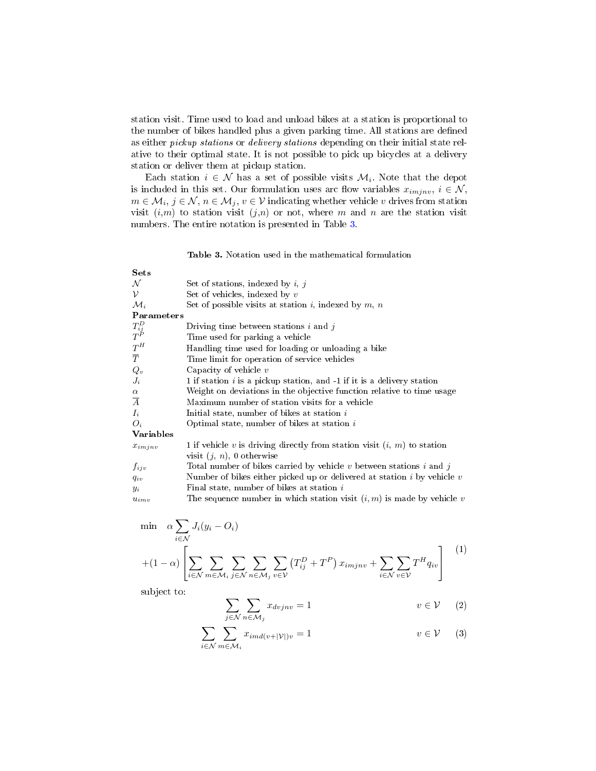station visit. Time used to load and unload bikes at a station is proportional to the number of bikes handled plus a given parking time. All stations are defined as either pickup stations or delivery stations depending on their initial state relative to their optimal state. It is not possible to pick up bicycles at a delivery station or deliver them at pickup station.

Each station  $i \in \mathcal{N}$  has a set of possible visits  $\mathcal{M}_i$ . Note that the depot is included in this set. Our formulation uses arc flow variables  $x_{imjnv}$ ,  $i \in \mathcal{N}$ ,  $m \in \mathcal{M}_i, j \in \mathcal{N}, n \in \mathcal{M}_j, v \in \mathcal{V}$  indicating whether vehicle  $v$  drives from station visit  $(i,m)$  to station visit  $(j,n)$  or not, where m and n are the station visit numbers. The entire notation is presented in Table [3.](#page-6-0)

<span id="page-6-0"></span>Table 3. Notation used in the mathematical formulation

| <b>Sets</b>          |                                                                             |
|----------------------|-----------------------------------------------------------------------------|
| $\cal N$             | Set of stations, indexed by i, j                                            |
| $\mathcal{V}$        | Set of vehicles, indexed by $v$                                             |
| $\mathcal{M}_i$      | Set of possible visits at station i, indexed by $m, n$                      |
| Parameters           |                                                                             |
| $T^D_{ij} \over T^P$ | Driving time between stations $i$ and $j$                                   |
|                      | Time used for parking a vehicle                                             |
| $T^H$                | Handling time used for loading or unloading a bike                          |
| $\overline{T}$       | Time limit for operation of service vehicles                                |
| $Q_v$                | Capacity of vehicle $v$                                                     |
| $J_i$                | 1 if station $i$ is a pickup station, and $-1$ if it is a delivery station  |
| $\alpha$             | Weight on deviations in the objective function relative to time usage       |
| $\overline{A}$       | Maximum number of station visits for a vehicle                              |
| $I_i$                | Initial state, number of bikes at station i                                 |
| $O_i$                | Optimal state, number of bikes at station i                                 |
| <b>Variables</b>     |                                                                             |
| $x_{imjnv}$          | 1 if vehicle v is driving directly from station visit $(i, m)$ to station   |
|                      | visit $(j, n)$ , 0 otherwise                                                |
| $f_{ijv}$            | Total number of bikes carried by vehicle v between stations i and j         |
| $q_{iv}$             | Number of bikes either picked up or delivered at station $i$ by vehicle $v$ |
| $y_i$                | Final state, number of bikes at station i                                   |
| $u_{imv}$            | The sequence number in which station visit $(i, m)$ is made by vehicle v    |

<span id="page-6-1"></span>
$$
\min \alpha \sum_{i \in \mathcal{N}} J_i(y_i - O_i)
$$
  
+ 
$$
(1 - \alpha) \left[ \sum_{i \in \mathcal{N}} \sum_{m \in \mathcal{M}_i} \sum_{j \in \mathcal{N}} \sum_{n \in \mathcal{M}_j} \sum_{v \in \mathcal{V}} \left( T_{ij}^D + T^P \right) x_{imjnv} + \sum_{i \in \mathcal{N}} \sum_{v \in \mathcal{V}} T^H q_{iv} \right]
$$
(1)

subject to:

<span id="page-6-3"></span><span id="page-6-2"></span>
$$
\sum_{j \in \mathcal{N}} \sum_{n \in \mathcal{M}_j} x_{d v j n v} = 1 \qquad v \in \mathcal{V} \qquad (2)
$$

$$
\sum_{i \in \mathcal{N}} \sum_{m \in \mathcal{M}_i} x_{imd(v+|\mathcal{V}|)v} = 1 \qquad \qquad v \in \mathcal{V} \qquad (3)
$$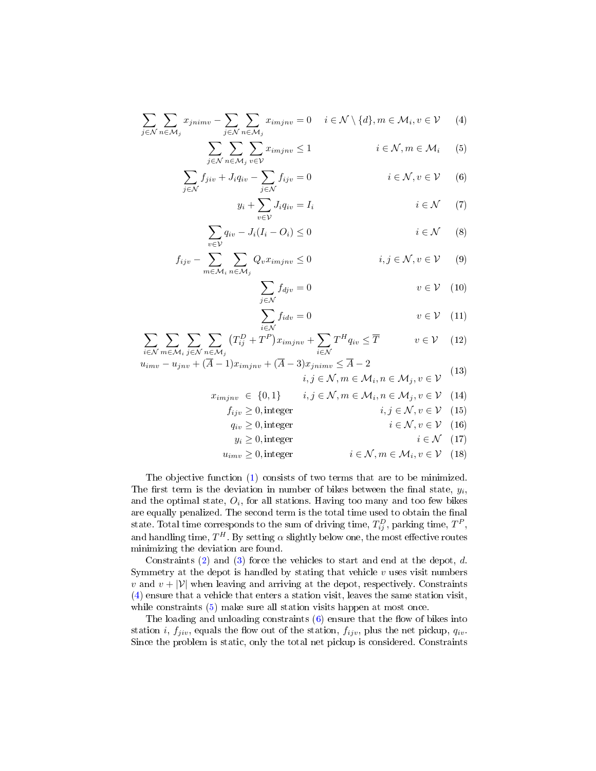$$
\sum_{j \in \mathcal{N}} \sum_{n \in \mathcal{M}_j} x_{j n i m v} - \sum_{j \in \mathcal{N}} \sum_{n \in \mathcal{M}_j} x_{i m j n v} = 0 \quad i \in \mathcal{N} \setminus \{d\}, m \in \mathcal{M}_i, v \in \mathcal{V} \tag{4}
$$

$$
\sum_{j \in \mathcal{N}} \sum_{n \in \mathcal{M}_j} \sum_{v \in \mathcal{V}} x_{imjnv} \le 1 \qquad i \in \mathcal{N}, m \in \mathcal{M}_i \qquad (5)
$$

$$
\sum_{j \in \mathcal{N}} f_{jiv} + J_i q_{iv} - \sum_{j \in \mathcal{N}} f_{ijv} = 0 \qquad i \in \mathcal{N}, v \in \mathcal{V} \qquad (6)
$$

<span id="page-7-2"></span><span id="page-7-1"></span><span id="page-7-0"></span>
$$
y_i + \sum_{v \in \mathcal{V}} J_i q_{iv} = I_i \qquad i \in \mathcal{N} \qquad (7)
$$

$$
\sum_{v \in \mathcal{V}} q_{iv} - J_i (I_i - O_i) \le 0 \qquad i \in \mathcal{N} \qquad (8)
$$

$$
f_{ijv} - \sum_{m \in \mathcal{M}_i} \sum_{n \in \mathcal{M}_j} Q_v x_{imjnv} \le 0 \qquad i, j \in \mathcal{N}, v \in \mathcal{V} \qquad (9)
$$

<span id="page-7-7"></span><span id="page-7-6"></span><span id="page-7-5"></span><span id="page-7-4"></span><span id="page-7-3"></span>
$$
\sum_{j \in \mathcal{N}} f_{djv} = 0 \qquad \qquad v \in \mathcal{V} \quad (10)
$$

<span id="page-7-8"></span>
$$
\sum_{i \in \mathcal{N}} f_{idv} = 0 \qquad \qquad v \in \mathcal{V} \quad (11)
$$

$$
\sum_{i \in \mathcal{N}} \sum_{m \in \mathcal{M}_i} \sum_{j \in \mathcal{N}} \sum_{n \in \mathcal{M}_j} \left( T_{ij}^D + T^P \right) x_{imjnv} + \sum_{i \in \mathcal{N}} T^H q_{iv} \leq \overline{T} \qquad v \in \mathcal{V} \quad (12)
$$

<span id="page-7-9"></span>
$$
u_{imv} - u_{jnv} + (\overline{A} - 1)x_{imjnv} + (\overline{A} - 3)x_{jnimv} \leq \overline{A} - 2
$$
  

$$
i, j \in \mathcal{N}, m \in \mathcal{M}_i, n \in \mathcal{M}_j, v \in \mathcal{V}
$$
 (13)

$$
x_{imjnv} \in \{0,1\} \qquad i,j \in \mathcal{N}, m \in \mathcal{M}_i, n \in \mathcal{M}_j, v \in \mathcal{V} \quad (14)
$$

$$
f_{ijv} \ge 0, \text{integer} \qquad i, j \in \mathcal{N}, v \in \mathcal{V} \quad (15)
$$

$$
q_{iv} \ge 0, \text{integer} \qquad \qquad i \in \mathcal{N}, v \in \mathcal{V} \quad (16)
$$

$$
y_i \ge 0, \text{integer} \qquad i \in \mathcal{N} \quad (17)
$$

$$
u_{imv} \ge 0, \text{integer} \qquad i \in \mathcal{N}, m \in \mathcal{M}_i, v \in \mathcal{V} \quad (18)
$$

The objective function [\(1\)](#page-6-1) consists of two terms that are to be minimized. The first term is the deviation in number of bikes between the final state,  $y_i$ , and the optimal state,  $O_i,$  for all stations. Having too many and too few bikes are equally penalized. The second term is the total time used to obtain the final state. Total time corresponds to the sum of driving time,  $T^D_{ij}$ , parking time,  $T^P,$ and handling time,  $T^H$ . By setting  $\alpha$  slightly below one, the most effective routes minimizing the deviation are found.

Constraints  $(2)$  and  $(3)$  force the vehicles to start and end at the depot, d. Symmetry at the depot is handled by stating that vehicle  $v$  uses visit numbers v and  $v + |\mathcal{V}|$  when leaving and arriving at the depot, respectively. Constraints [\(4\)](#page-7-0) ensure that a vehicle that enters a station visit, leaves the same station visit, while constraints  $(5)$  make sure all station visits happen at most once.

The loading and unloading constraints  $(6)$  ensure that the flow of bikes into station i,  $f_{jiv}$ , equals the flow out of the station,  $f_{ijv}$ , plus the net pickup,  $q_{iv}$ . Since the problem is static, only the total net pickup is considered. Constraints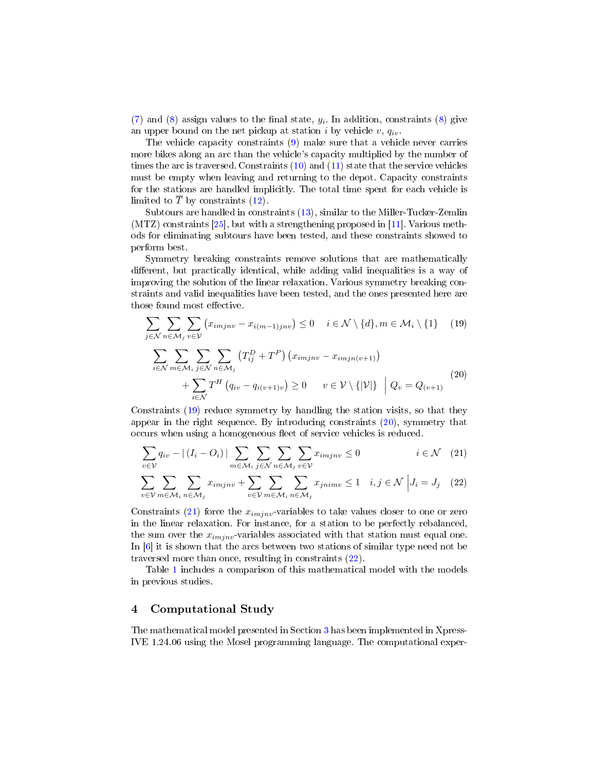[\(7\)](#page-7-3) and [\(8\)](#page-7-4) assign values to the final state,  $y_i$ . In addition, constraints (8) give an upper bound on the net pickup at station i by vehicle  $v, q_{iv}$ .

The vehicle capacity constraints [\(9\)](#page-7-5) make sure that a vehicle never carries more bikes along an arc than the vehicle's capacity multiplied by the number of times the arc is traversed. Constraints [\(10\)](#page-7-6) and [\(11\)](#page-7-7) state that the service vehicles must be empty when leaving and returning to the depot. Capacity constraints for the stations are handled implicitly. The total time spent for each vehicle is limited to  $\overline{T}$  by constraints [\(12\)](#page-7-8).

Subtours are handled in constraints [\(13\)](#page-7-9), similar to the Miller-Tucker-Zemlin  $(MTZ)$  constraints  $[25]$ , but with a strengthening proposed in [\[11\]](#page-13-16). Various methods for eliminating subtours have been tested, and these constraints showed to perform best.

Symmetry breaking constraints remove solutions that are mathematically different, but practically identical, while adding valid inequalities is a way of improving the solution of the linear relaxation. Various symmetry breaking constraints and valid inequalities have been tested, and the ones presented here are those found most effective.

<span id="page-8-1"></span>
$$
\sum_{j \in \mathcal{N}} \sum_{n \in \mathcal{M}_j} \sum_{v \in \mathcal{V}} \left( x_{imjnv} - x_{i(m-1)jnv} \right) \le 0 \quad i \in \mathcal{N} \setminus \{d\}, m \in \mathcal{M}_i \setminus \{1\} \tag{19}
$$
\n
$$
\sum_{i \in \mathcal{N}} \sum_{m \in \mathcal{M}_i} \sum_{j \in \mathcal{N}} \sum_{n \in \mathcal{M}_j} \left( T_{ij}^D + T^P \right) \left( x_{imjnv} - x_{imjn(v+1)} \right)
$$
\n
$$
+ \sum_{i \in \mathcal{N}} T^H \left( q_{iv} - q_{i(v+1)v} \right) \ge 0 \quad v \in \mathcal{V} \setminus \{|\mathcal{V}|\} \quad Q_v = Q_{(v+1)} \tag{20}
$$

<span id="page-8-2"></span>i∈N Constraints [\(19\)](#page-8-1) reduce symmetry by handling the station visits, so that they appear in the right sequence. By introducing constraints [\(20\)](#page-8-2), symmetry that

occurs when using a homogeneous fleet of service vehicles is reduced.

<span id="page-8-3"></span>
$$
\sum_{v \in \mathcal{V}} q_{iv} - |(I_i - O_i)| \sum_{m \in \mathcal{M}_i} \sum_{j \in \mathcal{N}} \sum_{n \in \mathcal{M}_j} \sum_{v \in \mathcal{V}} x_{imjnv} \le 0 \qquad i \in \mathcal{N} \quad (21)
$$

<span id="page-8-4"></span>
$$
\sum_{v \in \mathcal{V}} \sum_{m \in \mathcal{M}_i} \sum_{n \in \mathcal{M}_j} x_{imjnv} + \sum_{v \in \mathcal{V}} \sum_{m \in \mathcal{M}_i} \sum_{n \in \mathcal{M}_j} x_{jnimv} \le 1 \quad i, j \in \mathcal{N} \left| J_i = J_j \right| \tag{22}
$$

Constraints [\(21\)](#page-8-3) force the  $x_{imjnv}$ -variables to take values closer to one or zero in the linear relaxation. For instance, for a station to be perfectly rebalanced, the sum over the  $x_{imjnv}$ -variables associated with that station must equal one. In [\[6\]](#page-12-7) it is shown that the arcs between two stations of similar type need not be traversed more than once, resulting in constraints [\(22\)](#page-8-4).

Table [1](#page-4-0) includes a comparison of this mathematical model with the models in previous studies.

# <span id="page-8-0"></span>4 Computational Study

The mathematical model presented in Section [3](#page-5-0) has been implemented in Xpress-IVE 1.24.06 using the Mosel programming language. The computational exper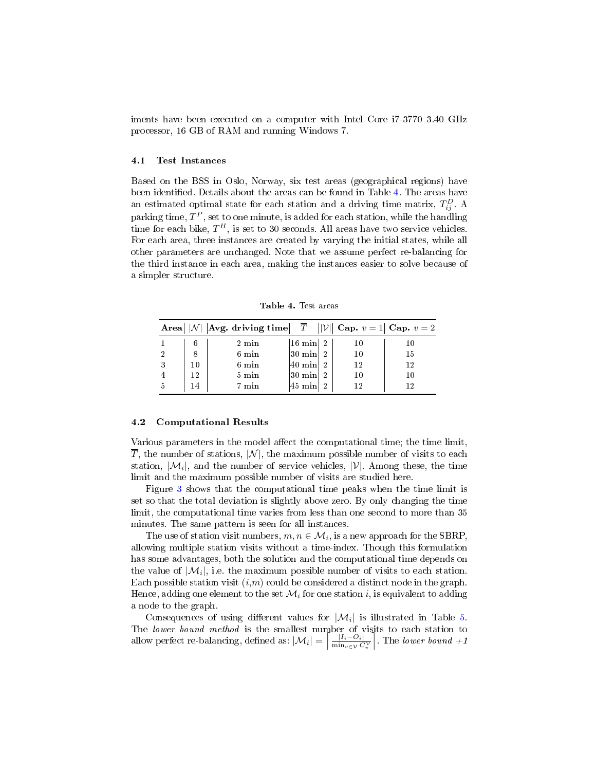iments have been executed on a computer with Intel Core i7-3770 3.40 GHz processor, 16 GB of RAM and running Windows 7.

#### 4.1 Test Instances

Based on the BSS in Oslo, Norway, six test areas (geographical regions) have been identified. Details about the areas can be found in Table [4.](#page-9-0) The areas have an estimated optimal state for each station and a driving time matrix,  $T_{ij}^D$ . A parking time,  $T^P$ , set to one minute, is added for each station, while the handling time for each bike,  $T^H$ , is set to 30 seconds. All areas have two service vehicles. For each area, three instances are created by varying the initial states, while all other parameters are unchanged. Note that we assume perfect re-balancing for the third instance in each area, making the instances easier to solve because of a simpler structure.

<span id="page-9-0"></span>Table 4. Test areas

|    | $2 \text{ min}$ | $ 16 \text{ min} /2$  |    |    |
|----|-----------------|-----------------------|----|----|
|    | $6 \text{ min}$ | $ 30 \>\mathrm{min} $ | 10 | 15 |
| 10 | $6 \text{ min}$ | $ 40 \text{ min} $    | 12 | 12 |
| 12 | $5 \text{ min}$ | $ 30 \>\text{min} $   | 10 | 10 |
| 14 | 7 min           | 45 min                | 12 | 19 |

#### 4.2 Computational Results

Various parameters in the model affect the computational time; the time limit,  $\overline{T}$ , the number of stations,  $|\mathcal{N}|$ , the maximum possible number of visits to each station,  $|\mathcal{M}_i|$ , and the number of service vehicles,  $|\mathcal{V}|$ . Among these, the time limit and the maximum possible number of visits are studied here.

Figure [3](#page-10-0) shows that the computational time peaks when the time limit is set so that the total deviation is slightly above zero. By only changing the time limit, the computational time varies from less than one second to more than 35 minutes. The same pattern is seen for all instances.

The use of station visit numbers,  $m, n \in \mathcal{M}_i$ , is a new approach for the SBRP, allowing multiple station visits without a time-index. Though this formulation has some advantages, both the solution and the computational time depends on the value of  $|\mathcal{M}_i|$ , i.e. the maximum possible number of visits to each station. Each possible station visit  $(i,m)$  could be considered a distinct node in the graph. Hence, adding one element to the set  $\mathcal{M}_i$  for one station i, is equivalent to adding a node to the graph.

Consequences of using different values for  $|\mathcal{M}_i|$  is illustrated in Table [5.](#page-11-0) The lower bound method is the smallest number of visits to each station to allow perfect re-balancing, defined as:  $|\mathcal{M}_i| = \left\lceil \frac{|I_i - O_i|}{\min_{v \in \mathcal{V}} C_v^{\mathcal{V}}} \right\rceil$ ]. The lower bound  $+1$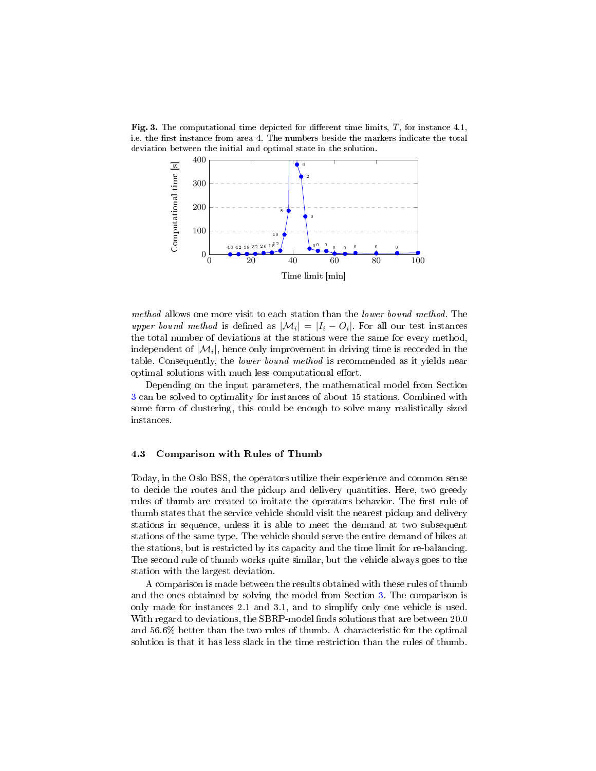<span id="page-10-0"></span>Fig. 3. The computational time depicted for different time limits,  $\overline{T}$ , for instance 4.1, i.e. the first instance from area 4. The numbers beside the markers indicate the total deviation between the initial and optimal state in the solution.



method allows one more visit to each station than the *lower bound method*. The upper bound method is defined as  $|\mathcal{M}_i| = |I_i - O_i|$ . For all our test instances the total number of deviations at the stations were the same for every method, independent of  $|\mathcal{M}_i|$ , hence only improvement in driving time is recorded in the table. Consequently, the *lower bound method* is recommended as it yields near optimal solutions with much less computational effort.

Depending on the input parameters, the mathematical model from Section [3](#page-5-0) can be solved to optimality for instances of about 15 stations. Combined with some form of clustering, this could be enough to solve many realistically sized instances.

#### 4.3 Comparison with Rules of Thumb

Today, in the Oslo BSS, the operators utilize their experience and common sense to decide the routes and the pickup and delivery quantities. Here, two greedy rules of thumb are created to imitate the operators behavior. The first rule of thumb states that the service vehicle should visit the nearest pickup and delivery stations in sequence, unless it is able to meet the demand at two subsequent stations of the same type. The vehicle should serve the entire demand of bikes at the stations, but is restricted by its capacity and the time limit for re-balancing. The second rule of thumb works quite similar, but the vehicle always goes to the station with the largest deviation.

A comparison is made between the results obtained with these rules of thumb and the ones obtained by solving the model from Section [3.](#page-5-0) The comparison is only made for instances 2.1 and 3.1, and to simplify only one vehicle is used. With regard to deviations, the SBRP-model finds solutions that are between 20.0 and 56.6% better than the two rules of thumb. A characteristic for the optimal solution is that it has less slack in the time restriction than the rules of thumb.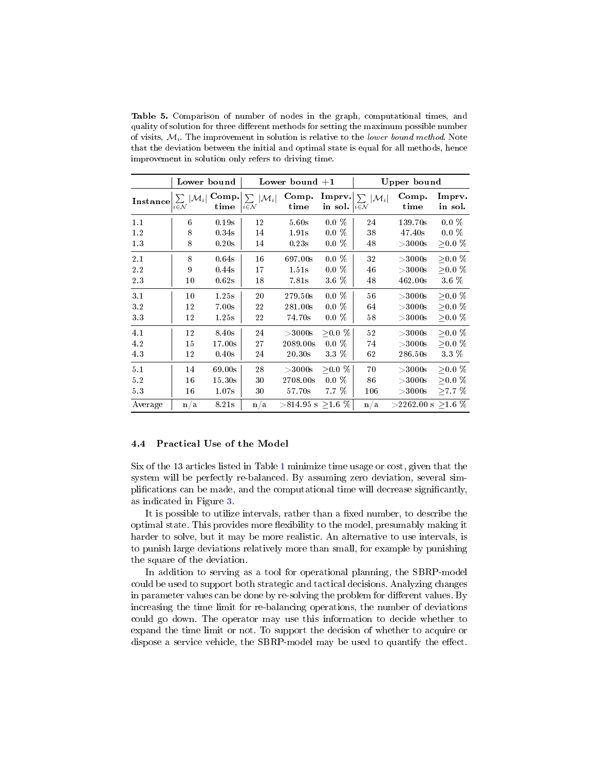<span id="page-11-0"></span>Table 5. Comparison of number of nodes in the graph, computational times, and quality of solution for three different methods for setting the maximum possible number of visits,  $\mathcal{M}_i$ . The improvement in solution is relative to the lower bound method. Note that the deviation between the initial and optimal state is equal for all methods, hence improvement in solution only refers to driving time.

|          | Lower bound                                 |               |                                                 | Lower bound $+1$     |                                        | Upper bound            |                           |                   |
|----------|---------------------------------------------|---------------|-------------------------------------------------|----------------------|----------------------------------------|------------------------|---------------------------|-------------------|
| Instance | $\sum  \mathcal{M}_i $<br>$i\in\mathcal{N}$ | Comp.<br>time | $\sum  \mathcal{M}_i $<br>$i\!\in\!\mathcal{N}$ | Comp.<br>time        | Imprv.<br>in sol. $ i \in \mathcal{N}$ | $\sum  \mathcal{M}_i $ | Comp.<br>time             | Imprv.<br>in sol. |
| 1.1      | 6                                           | 0.19s         | 12                                              | 5.60s                | $0.0 \%$                               | 24                     | 139.70s                   | $0.0 \%$          |
| 1.2      | 8                                           | 0.34s         | 14                                              | 1.91s                | $0.0 \%$                               | 38                     | 47.40s                    | $0.0 \%$          |
| 1.3      | 8                                           | 0.20s         | 14                                              | 0.23s                | $0.0 \%$                               | 48                     | $>\!\!3000\mathrm{s}$     | $> 0.0 \%$        |
| 2.1      | 8                                           | 0.64s         | 16                                              | 697.00s              | $0.0 \%$                               | 32                     | $>$ 3000s                 | $>0.0 \%$         |
| 2.2      | 9                                           | 0.44s         | 17                                              | 1.51s                | $0.0 \%$                               | 46                     | $>$ 3000s                 | $>0.0\%$          |
| 2.3      | $10\,$                                      | 0.62s         | 18                                              | 7.81s                | $3.6\%$                                | 48                     | 462.00s                   | 3.6 %             |
| 3.1      | 10                                          | 1.25s         | 20                                              | 279.50s              | $0.0 \%$                               | 56                     | >3000s                    | $\geq$ 0.0 $\%$   |
| 3.2      | 12                                          | 7.00s         | 22                                              | 281.00s              | $0.0 \%$                               | 64                     | $>$ 3000s                 | $>0.0\%$          |
| 3.3      | 12                                          | 1.25s         | 22                                              | 74.70s               | $0.0 \%$                               | 58                     | $>\!\!3000\mathrm{s}$     | $> 0.0 \%$        |
| 4.1      | 12                                          | 8.40s         | 24                                              | $>$ 3000s            | ${\geq}0.0$ %                          | 52                     | $>$ 3000s                 | $>0.0 \%$         |
| 4.2      | 15                                          | 17.00s        | 27                                              | 2089.00s             | $0.0 \%$                               | 74                     | $>$ 3000s                 | $> 0.0 \%$        |
| 4.3      | 12                                          | 0.40s         | 24                                              | 20.30s               | $3.3\%$                                | 62                     | 286.50s                   | 33%               |
| 5.1      | 14                                          | 69.00s        | 28                                              | $>$ 3000s            | $\geq$ 0.0 %                           | 70                     | >3000s                    | $>0.0 \%$         |
| 5.2      | 16                                          | 15.30s        | 30                                              | 2708.00s             | $0.0~\%$                               | 86                     | >3000s                    | $\geq$ 0.0 $\%$   |
| 5.3      | 16                                          | 1.07s         | 30                                              | 57.70s               | 7.7 %                                  | 106                    | $>\!\!3000\mathrm{s}$     | $>7.7\%$          |
| Average  | n/a                                         | 8.21s         | n/a                                             | $>814.95$ s $>1.6$ % |                                        | n/a                    | $>$ 2262.00 s $>$ 1.6 $%$ |                   |

#### 4.4 Practical Use of the Model

Six of the 13 articles listed in Table [1](#page-4-0) minimize time usage or cost, given that the system will be perfectly re-balanced. By assuming zero deviation, several simplications can be made, and the computational time will decrease signicantly, as indicated in Figure [3.](#page-10-0)

It is possible to utilize intervals, rather than a fixed number, to describe the optimal state. This provides more flexibility to the model, presumably making it harder to solve, but it may be more realistic. An alternative to use intervals, is to punish large deviations relatively more than small, for example by punishing the square of the deviation.

In addition to serving as a tool for operational planning, the SBRP-model could be used to support both strategic and tactical decisions. Analyzing changes in parameter values can be done by re-solving the problem for different values. By increasing the time limit for re-balancing operations, the number of deviations could go down. The operator may use this information to decide whether to expand the time limit or not. To support the decision of whether to acquire or dispose a service vehicle, the SBRP-model may be used to quantify the effect.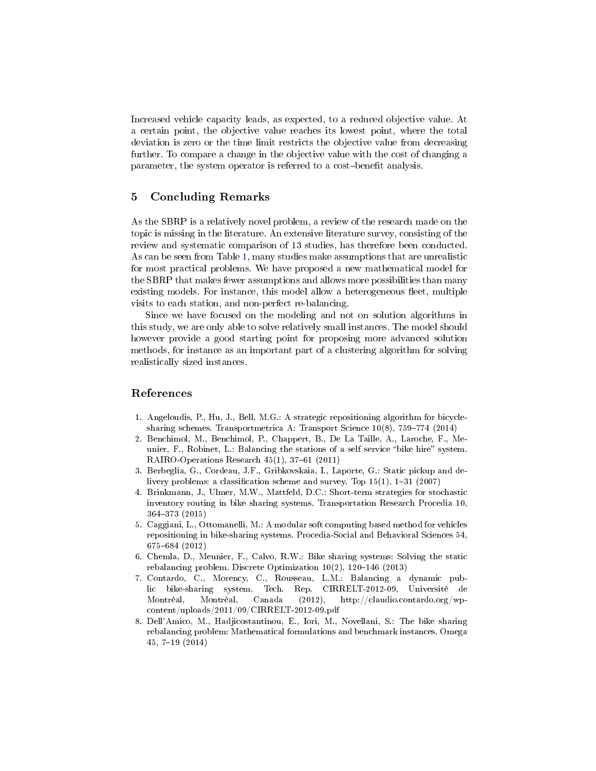Increased vehicle capacity leads, as expected, to a reduced objective value. At a certain point, the objective value reaches its lowest point, where the total deviation is zero or the time limit restricts the objective value from decreasing further. To compare a change in the objective value with the cost of changing a parameter, the system operator is referred to a cost-benefit analysis.

## <span id="page-12-1"></span>5 Concluding Remarks

As the SBRP is a relatively novel problem, a review of the research made on the topic is missing in the literature. An extensive literature survey, consisting of the review and systematic comparison of 13 studies, has therefore been conducted. As can be seen from Table [1,](#page-4-0) many studies make assumptions that are unrealistic for most practical problems. We have proposed a new mathematical model for the SBRP that makes fewer assumptions and allows more possibilities than many existing models. For instance, this model allow a heterogeneous fleet, multiple visits to each station, and non-perfect re-balancing.

Since we have focused on the modeling and not on solution algorithms in this study, we are only able to solve relatively small instances. The model should however provide a good starting point for proposing more advanced solution methods, for instance as an important part of a clustering algorithm for solving realistically sized instances.

# References

- <span id="page-12-2"></span>1. Angeloudis, P., Hu, J., Bell, M.G.: A strategic repositioning algorithm for bicyclesharing schemes. Transportmetrica A: Transport Science  $10(8)$ ,  $759-774$  (2014)
- <span id="page-12-6"></span>2. Benchimol, M., Benchimol, P., Chappert, B., De La Taille, A., Laroche, F., Meunier, F., Robinet, L.: Balancing the stations of a self service "bike hire" system. RAIRO-Operations Research  $45(1)$ ,  $37-61$  (2011)
- <span id="page-12-0"></span>3. Berbeglia, G., Cordeau, J.F., Gribkovskaia, I., Laporte, G.: Static pickup and delivery problems: a classification scheme and survey. Top  $15(1)$ ,  $1-31$  (2007)
- <span id="page-12-3"></span>4. Brinkmann, J., Ulmer, M.W., Mattfeld, D.C.: Short-term strategies for stochastic inventory routing in bike sharing systems. Transportation Research Procedia 10, 364373 (2015)
- <span id="page-12-4"></span>5. Caggiani, L., Ottomanelli, M.: A modular soft computing based method for vehicles repositioning in bike-sharing systems. Procedia-Social and Behavioral Sciences 54, 675684 (2012)
- <span id="page-12-7"></span>6. Chemla, D., Meunier, F., Calvo, R.W.: Bike sharing systems: Solving the static rebalancing problem. Discrete Optimization  $10(2)$ ,  $120-146$  (2013)
- <span id="page-12-5"></span>7. Contardo, C., Morency, C., Rousseau, L.M.: Balancing a dynamic public bike-sharing system. Tech. Rep. CIRRELT-2012-09, Universitè de Montrèal, Montrèal, Canada (2012), http://claudio.contardo.org/wpcontent/uploads/2011/09/CIRRELT-2012-09.pdf
- <span id="page-12-8"></span>8. Dell'Amico, M., Hadjicostantinou, E., Iori, M., Novellani, S.: The bike sharing rebalancing problem: Mathematical formulations and benchmark instances. Omega 45, 719 (2014)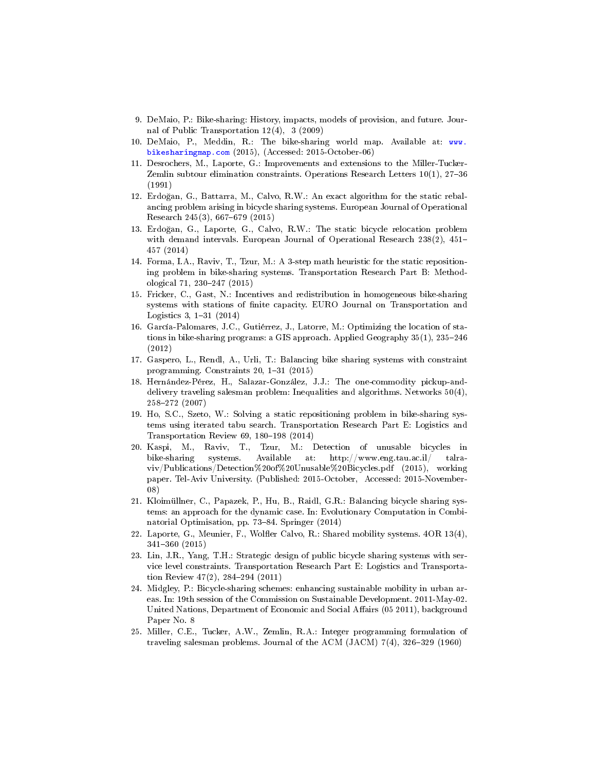- <span id="page-13-1"></span>9. DeMaio, P.: Bike-sharing: History, impacts, models of provision, and future. Journal of Public Transportation 12(4), 3 (2009)
- <span id="page-13-0"></span>10. DeMaio, P., Meddin, R.: The bike-sharing world map. Available at: [www.](www.bikesharingmap.com) [bikesharingmap.com](www.bikesharingmap.com) (2015), (Accessed: 2015-October-06)
- <span id="page-13-16"></span>11. Desrochers, M., Laporte, G.: Improvements and extensions to the Miller-Tucker-Zemlin subtour elimination constraints. Operations Research Letters 10(1), 27-36 (1991)
- <span id="page-13-14"></span>12. Erdo§an, G., Battarra, M., Calvo, R.W.: An exact algorithm for the static rebalancing problem arising in bicycle sharing systems. European Journal of Operational Research  $245(3)$ , 667-679 (2015)
- <span id="page-13-13"></span>13. Erdo§an, G., Laporte, G., Calvo, R.W.: The static bicycle relocation problem with demand intervals. European Journal of Operational Research 238(2), 451 457 (2014)
- <span id="page-13-10"></span>14. Forma, I.A., Raviv, T., Tzur, M.: A 3-step math heuristic for the static repositioning problem in bike-sharing systems. Transportation Research Part B: Methodological 71, 230-247 (2015)
- <span id="page-13-5"></span>15. Fricker, C., Gast, N.: Incentives and redistribution in homogeneous bike-sharing systems with stations of nite capacity. EURO Journal on Transportation and Logistics  $3, 1-31$  (2014)
- <span id="page-13-3"></span>16. García-Palomares, J.C., Gutiérrez, J., Latorre, M.: Optimizing the location of stations in bike-sharing programs: a GIS approach. Applied Geography  $35(1)$ ,  $235-246$ (2012)
- <span id="page-13-11"></span>17. Gaspero, L., Rendl, A., Urli, T.: Balancing bike sharing systems with constraint programming. Constraints  $20, 1-31$  (2015)
- <span id="page-13-12"></span>18. Hernández-Pérez, H., Salazar-González, J.J.: The one-commodity pickup-anddelivery traveling salesman problem: Inequalities and algorithms. Networks 50(4), 258272 (2007)
- <span id="page-13-9"></span>19. Ho, S.C., Szeto, W.: Solving a static repositioning problem in bike-sharing systems using iterated tabu search. Transportation Research Part E: Logistics and Transportation Review 69, 180-198 (2014)
- <span id="page-13-6"></span>20. Kaspi, M., Raviv, T., Tzur, M.: Detection of unusable bicycles in bike-sharing systems. Available at: http://www.eng.tau.ac.il/ talraviv/Publications/Detection%20of%20Unusable%20Bicycles.pdf (2015), working paper. Tel-Aviv University. (Published: 2015-October, Accessed: 2015-November-08)
- <span id="page-13-7"></span>21. Kloimüllner, C., Papazek, P., Hu, B., Raidl, G.R.: Balancing bicycle sharing systems: an approach for the dynamic case. In: Evolutionary Computation in Combinatorial Optimisation, pp. 73-84. Springer (2014)
- <span id="page-13-8"></span>22. Laporte, G., Meunier, F., Wolfler Calvo, R.: Shared mobility systems.  $4OR 13(4)$ . 341360 (2015)
- <span id="page-13-4"></span>23. Lin, J.R., Yang, T.H.: Strategic design of public bicycle sharing systems with service level constraints. Transportation Research Part E: Logistics and Transportation Review  $47(2)$ ,  $284-294$   $(2011)$
- <span id="page-13-2"></span>24. Midgley, P.: Bicycle-sharing schemes: enhancing sustainable mobility in urban areas. In: 19th session of the Commission on Sustainable Development. 2011-May-02. United Nations, Department of Economic and Social Affairs (05 2011), background Paper No. 8
- <span id="page-13-15"></span>25. Miller, C.E., Tucker, A.W., Zemlin, R.A.: Integer programming formulation of traveling salesman problems. Journal of the ACM (JACM)  $7(4)$ , 326-329 (1960)